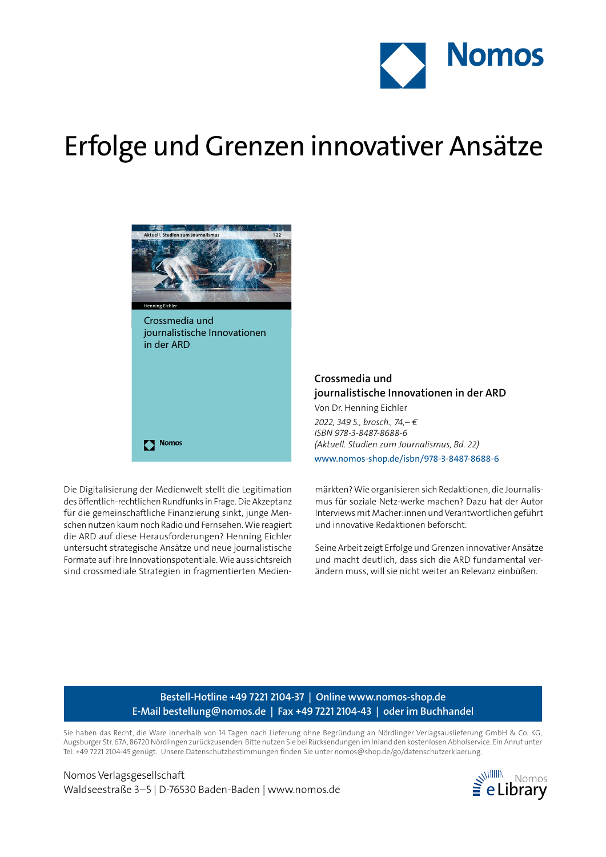

## Erfolge und Grenzen innovativer Ansätze



Crossmedia und journalistische Innovationen in der ARD

Die Digitalisierung der Medienwelt stellt die Legitimation des öffentlich-rechtlichen Rundfunks in Frage. Die Akzeptanz für die gemeinschaftliche Finanzierung sinkt, junge Menschen nutzen kaum noch Radio und Fernsehen. Wie reagiert die ARD auf diese Herausforderungen? Henning Eichler untersucht strategische Ansätze und neue journalistische

Nomos

Formate auf ihre Innovationspotentiale. Wie aussichtsreich sind crossmediale Strategien in fragmentierten Medien**Crossmedia und journalistische Innovationen in der ARD**

Von Dr. Henning Eichler *2022, 349 S., brosch., 74,– € ISBN 978-3-8487-8688-6 (Aktuell. Studien zum Journalismus, Bd. 22)* www.nomos-shop.de/isbn/978-3-8487-8688-6

märkten? Wie organisieren sich Redaktionen, die Journalismus für soziale Netz-werke machen? Dazu hat der Autor Interviews mit Macher:innen und Verantwortlichen geführt und innovative Redaktionen beforscht.

Seine Arbeit zeigt Erfolge und Grenzen innovativer Ansätze und macht deutlich, dass sich die ARD fundamental verändern muss, will sie nicht weiter an Relevanz einbüßen.

## **Bestell-Hotline +49 7221 2104-37 | Online www.nomos-shop.de E-Mail bestellung@nomos.de | Fax +49 7221 2104-43 | oder im Buchhandel**

Sie haben das Recht, die Ware innerhalb von 14 Tagen nach Lieferung ohne Begründung an Nördlinger Verlagsauslieferung GmbH & Co. KG, Augsburger Str. 67A, 86720 Nördlingen zurückzusenden. Bitte nutzen Sie bei Rücksendungen im Inland den kostenlosen Abholservice. Ein Anruf unter Tel. +49 7221 2104-45 genügt. Unsere Datenschutzbestimmungen finden Sie unter nomos@shop.de/go/datenschutzerklaerung.

Nomos Verlagsgesellschaft Waldseestraße 3–5 | D-76530 Baden-Baden | www.nomos.de  $\geq$  eLibrary